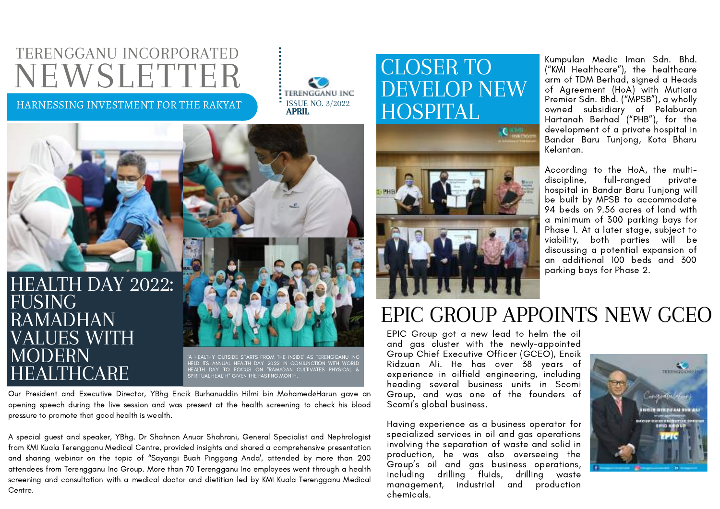# TERENGGANU INCORPORATED NEWSLETTER

HARNESSING INVESTMENT FOR THE RAKYAT ISSUE NO. 3/2022



#### HEALTH DAY 2022: FUSING RAMADHAN VALUES WITH MODERN HEALTHCARE

'A HEALTHY OUTSIDE STARTS FROM THE INSIDE' AS TERENGGANU INC<br>HELD ITS ANNUAL HEALTH DAY 2022 IN CONJUNCTION WITH WORLD<br>HEALTH DAY TO FOCUS ON "RAMADAN CULTIVATES PHYSICAL &<br>SPIRITUAL HEALTH" GIVEN THE FASTING MONTH.

Our President and Executive Director, YBhg Encik Burhanuddin Hilmi bin Mohamed@Harun gave an opening speech during the live session and was present at the health screening to check his blood pressure to promote that good health is wealth.

A special guest and speaker, YBhg. Dr Shahnon Anuar Shahrani, General Specialist and Nephrologist from KMI Kuala Terengganu Medical Centre, provided insights and shared a comprehensive presentation and sharing webinar on the topic of "Sayangi Buah Pinggang Anda', attended by more than 200 attendees from Terengganu Inc Group. More than 70 Terengganu Inc employees went through a health screening and consultation with a medical doctor and dietitian led by KMI Kuala Terengganu Medical Centre.

#### <u>KMI ONE STEP STEP</u> CLOSER TO DEVELOP NEW HOSPITAL



Kumpulan Medic Iman Sdn. Bhd. ("KMI Healthcare"), the healthcare arm of TDM Berhad, signed a Heads of Agreement (HoA) with Mutiara Premier Sdn. Bhd. ("MPSB"), a wholly owned subsidiary of Pelaburan Hartanah Berhad ("PHB"), for the development of a private hospital in Bandar Baru Tunjong, Kota Bharu Kelantan.

According to the HoA, the multidiscipline, full-ranged private hospital in Bandar Baru Tunjong will be built by MPSB to accommodate 94 beds on 9.56 acres of land with a minimum of 300 parking bays for Phase 1. At a later stage, subject to viability, both parties will be discussing a potential expansion of an additional 100 beds and 300 parking bays for Phase 2.

## EPIC GROUP APPOINTS NEW GCEO

EPIC Group got a new lead to helm the oil and gas cluster with the newly-appointed Group Chief Executive Officer (GCEO), Encik Ridzuan Ali. He has over 38 years of experience in oilfield engineering, including heading several business units in Scomi Group, and was one of the founders of Scomi's global business.

Having experience as a business operator for specialized services in oil and gas operations involving the separation of waste and solid in production, he was also overseeing the Group's oil and gas business operations, including drilling fluids, drilling waste management, industrial and production chemicals.

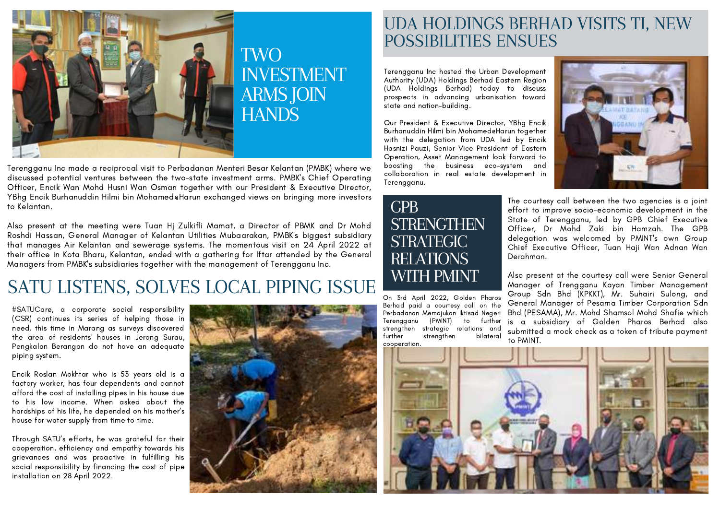

Terengganu Inc made a reciprocal visit to Perbadanan Menteri Besar Kelantan (PMBK) where we discussed potential ventures between the two-state investment arms. PMBK's Chief Operating Officer, Encik Wan Mohd Husni Wan Osman together with our President & Executive Director, YBhg Encik Burhanuddin Hilmi bin Mohamed@Harun exchanged views on bringing more investors to Kelantan.

Also present at the meeting were Tuan Hj Zulkifli Mamat, a Director of PBMK and Dr Mohd Roshdi Hassan, General Manager of Kelantan Utilities Mubaarakan, PMBK's biggest subsidiary that manages Air Kelantan and sewerage systems. The momentous visit on 24 April 2022 at their office in Kota Bharu, Kelantan, ended with a gathering for Iftar attended by the General Managers from PMBK's subsidiaries together with the management of Terengganu Inc.

#### SATU LISTENS, SOLVES LOCAL PIPING ISSUE

#SATUCare, a corporate social responsibility (CSR) continues its series of helping those in need, this time in Marang as surveys discovered the area of residents' houses in Jerong Surau, Pengkalan Berangan do not have an adequate piping system.

Encik Roslan Mokhtar who is 53 years old is a factory worker, has four dependents and cannot afford the cost of installing pipes in his house due to his low income. When asked about the hardships of his life, he depended on his mother's house for water supply from time to time.

Through SATU's efforts, he was grateful for their cooperation, efficiency and empathy towards his grievances and was proactive in fulfilling his social responsibility by financing the cost of pipe installation on 28 April 2022.



#### UDA HOLDINGS BERHAD VISITS TI, NEW POSSIBILITIES ENSUES

Terengganu Inc hosted the Urban Development Authority (UDA) Holdings Berhad Eastern Region (UDA Holdings Berhad) today to discuss prospects in advancing urbanisation toward state and nation-building.

Our President & Executive Director, YBhg Encik Burhanuddin Hilmi bin Mohamed@Harun together with the delegation from UDA led by Encik Hasnizi Pauzi, Senior Vice President of Eastern Operation, Asset Management look forward to boosting the business eco-system and collaboration in real estate development in Terengganu.



On 3rd April 2022, Golden Pharos Berhad paid a courtesy call on the Perbadanan Memajukan Iktisad Negeri Terengganu (PMINT) to further strengthen strategic relations and further strengthen cooperation.



The courtesy call between the two agencies is a joint effort to improve socio-economic development in the State of Terengganu, led by GPB Chief Executive Officer, Dr Mohd Zaki bin Hamzah. The GPB delegation was welcomed by PMINT's own Group Chief Executive Officer, Tuan Haji Wan Adnan Wan Derahman.

Also present at the courtesy call were Senior General Manager of Trengganu Kayan Timber Management Group Sdn Bhd (KPKKT), Mr. Suhairi Sulong, and General Manager of Pesama Timber Corporation Sdn Bhd (PESAMA), Mr. Mohd Shamsol Mohd Shafie which is a subsidiary of Golden Pharos Berhad also submitted a mock check as a token of tribute payment to PMINT.